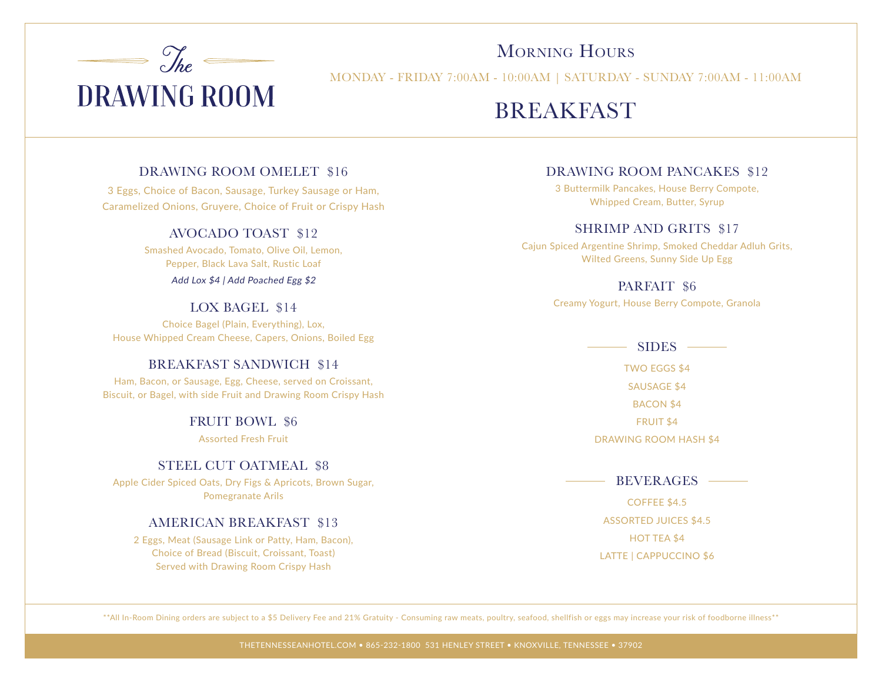

## MORNING HOURS

MONDAY - FRIDAY 7:00AM - 10:00AM | SATURDAY - SUNDAY 7:00AM - 11:00AM

# **BREAKFAST**

#### DRAWING ROOM OMELET \$16

3 Eggs, Choice of Bacon, Sausage, Turkey Sausage or Ham, Caramelized Onions, Gruyere, Choice of Fruit or Crispy Hash

#### AVOCADO TOAST \$12

Smashed Avocado, Tomato, Olive Oil, Lemon, Pepper, Black Lava Salt, Rustic Loaf

Add Lox \$4 | Add Poached Egg \$2

#### LOX BAGEL \$14

Choice Bagel (Plain, Everything), Lox, House Whipped Cream Cheese, Capers, Onions, Boiled Egg

#### BREAKFAST SANDWICH \$14

Ham, Bacon, or Sausage, Egg, Cheese, served on Croissant, Biscuit, or Bagel, with side Fruit and Drawing Room Crispy Hash

#### FRUIT BOWL \$6

Assorted Fresh Fruit

#### STEEL CUT OATMEAL \$8

Apple Cider Spiced Oats, Dry Figs & Apricots, Brown Sugar, Pomegranate Arils

#### AMERICAN BREAKFAST \$13

2 Eggs, Meat (Sausage Link or Patty, Ham, Bacon), Choice of Bread (Biscuit, Croissant, Toast) Served with Drawing Room Crispy Hash

#### DRAWING ROOM PANCAKES \$12

3 Buttermilk Pancakes, House Berry Compote, Whipped Cream, Butter, Syrup

#### SHRIMP AND GRITS \$17

Cajun Spiced Argentine Shrimp, Smoked Cheddar Adluh Grits, Wilted Greens, Sunny Side Up Egg

#### PARFAIT \$6

Creamy Yogurt, House Berry Compote, Granola

 $SIDES =$ 

TWO EGGS \$4

SAUSAGE \$4

BACON \$4

FRUIT \$4

DRAWING ROOM HASH \$4

BEVERAGES

COFFEE \$4.5 ASSORTED JUICES \$4.5 HOT TEA \$4 LATTE | CAPPUCCINO \$6

\*\*All In-Room Dining orders are subject to a \$5 Delivery Fee and 21% Gratuity - Consuming raw meats, poultry, seafood, shellfish or eggs may increase your risk of foodborne illness\*\*

THETENNESSEANHOTEL.COM • 865-232-1800 531 HENLEY STREET • KNOXVILLE, TENNESSEE • 37902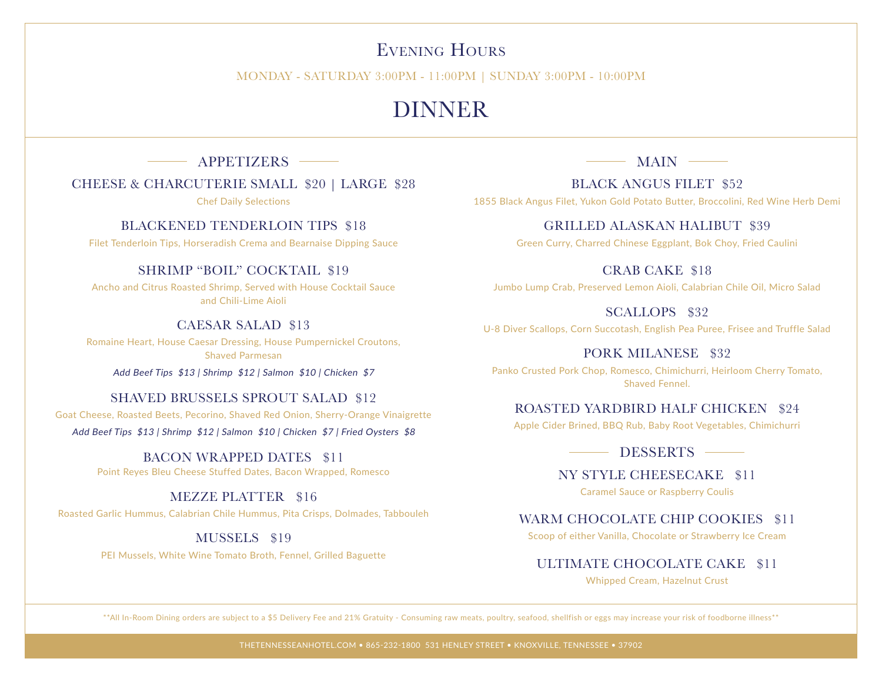## Evening Hours

MONDAY - SATURDAY 3:00PM - 11:00PM | SUNDAY 3:00PM - 10:00PM

# DINNER

- APPETIZERS -

#### CHEESE & CHARCUTERIE SMALL \$20 | LARGE \$28

Chef Daily Selections

#### BLACKENED TENDERLOIN TIPS \$18

Filet Tenderloin Tips, Horseradish Crema and Bearnaise Dipping Sauce

#### SHRIMP "BOIL" COCKTAIL \$19

Ancho and Citrus Roasted Shrimp, Served with House Cocktail Sauce and Chili-Lime Aioli

#### CAESAR SALAD \$13

Romaine Heart, House Caesar Dressing, House Pumpernickel Croutons, Shaved Parmesan

Add Beef Tips \$13 | Shrimp \$12 | Salmon \$10 | Chicken \$7

#### SHAVED BRUSSELS SPROUT SALAD \$12

Goat Cheese, Roasted Beets, Pecorino, Shaved Red Onion, Sherry-Orange Vinaigrette Add Beef Tips \$13 | Shrimp \$12 | Salmon \$10 | Chicken \$7 | Fried Oysters \$8

### BACON WRAPPED DATES \$11

Point Reyes Bleu Cheese Stuffed Dates, Bacon Wrapped, Romesco

#### MEZZE PLATTER \$16

Roasted Garlic Hummus, Calabrian Chile Hummus, Pita Crisps, Dolmades, Tabbouleh

#### MUSSELS \$19

PEI Mussels, White Wine Tomato Broth, Fennel, Grilled Baguette

MAIN

### BLACK ANGUS FILET \$52

1855 Black Angus Filet, Yukon Gold Potato Butter, Broccolini, Red Wine Herb Demi

#### GRILLED ALASKAN HALIBUT \$39

Green Curry, Charred Chinese Eggplant, Bok Choy, Fried Caulini

#### CRAB CAKE \$18

Jumbo Lump Crab, Preserved Lemon Aioli, Calabrian Chile Oil, Micro Salad

#### SCALLOPS \$32

U-8 Diver Scallops, Corn Succotash, English Pea Puree, Frisee and Truffle Salad

#### PORK MILANESE \$32

Panko Crusted Pork Chop, Romesco, Chimichurri, Heirloom Cherry Tomato, Shaved Fennel.

### ROASTED YARDBIRD HALF CHICKEN \$24

Apple Cider Brined, BBQ Rub, Baby Root Vegetables, Chimichurri

#### - DESSERTS --

NY STYLE CHEESECAKE \$11

Caramel Sauce or Raspberry Coulis

### WARM CHOCOLATE CHIP COOKIES \$11

Scoop of either Vanilla, Chocolate or Strawberry Ice Cream

#### ULTIMATE CHOCOLATE CAKE \$11

Whipped Cream, Hazelnut Crust

\*\*All In-Room Dining orders are subject to a \$5 Delivery Fee and 21% Gratuity - Consuming raw meats, poultry, seafood, shellfish or eggs may increase your risk of foodborne illness\*\*

THETENNESSEANHOTEL.COM • 865-232-1800 531 HENLEY STREET • KNOXVILLE, TENNESSEE • 37902